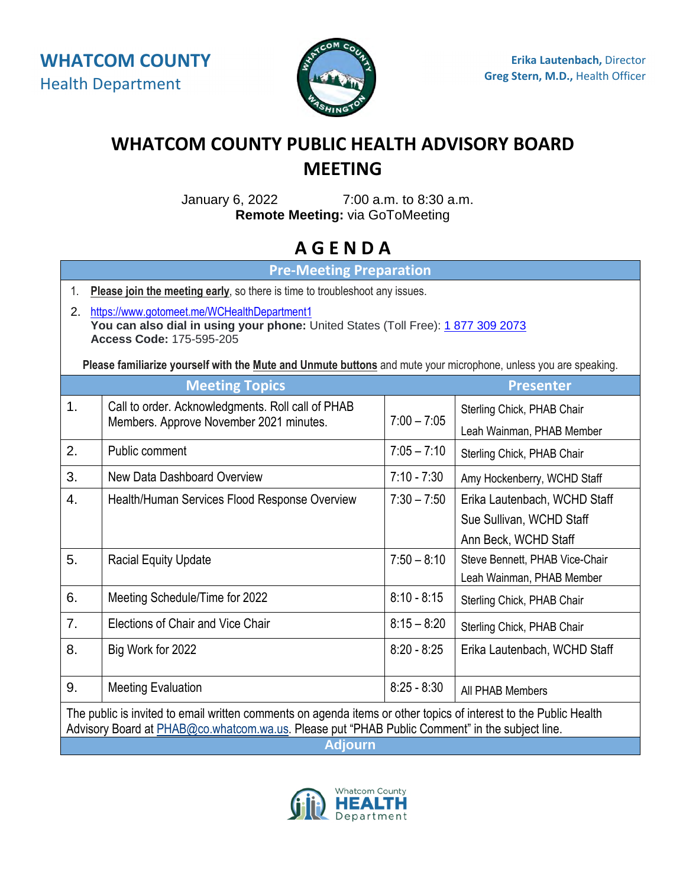

## **WHATCOM COUNTY PUBLIC HEALTH ADVISORY BOARD MEETING**

January 6, 2022 7:00 a.m. to 8:30 a.m. **Remote Meeting:** via GoToMeeting

## **A G E N D A**

**Pre-Meeting Preparation** 

- 1. **Please join the meeting early**, so there is time to troubleshoot any issues.
- 2. https://www.gotomeet.me/WCHealthDepartment1 **You can also dial in using your phone:** United States (Toll Free): 1877 309 2073 **Access Code:** 175-595-205

**Please familiarize yourself with the Mute and Unmute buttons** and mute your microphone, unless you are speaking.

| <b>Meeting Topics</b>                                                                                            |                                                                                              |               | <b>Presenter</b>               |
|------------------------------------------------------------------------------------------------------------------|----------------------------------------------------------------------------------------------|---------------|--------------------------------|
| 1.                                                                                                               | Call to order. Acknowledgments. Roll call of PHAB<br>Members. Approve November 2021 minutes. | $7:00 - 7:05$ | Sterling Chick, PHAB Chair     |
|                                                                                                                  |                                                                                              |               | Leah Wainman, PHAB Member      |
| 2.                                                                                                               | Public comment                                                                               | $7:05 - 7:10$ | Sterling Chick, PHAB Chair     |
| 3.                                                                                                               | New Data Dashboard Overview                                                                  | $7:10 - 7:30$ | Amy Hockenberry, WCHD Staff    |
| 4.                                                                                                               | Health/Human Services Flood Response Overview                                                | $7:30 - 7:50$ | Erika Lautenbach, WCHD Staff   |
|                                                                                                                  |                                                                                              |               | Sue Sullivan, WCHD Staff       |
|                                                                                                                  |                                                                                              |               | Ann Beck, WCHD Staff           |
| 5.                                                                                                               | <b>Racial Equity Update</b>                                                                  | $7:50 - 8:10$ | Steve Bennett, PHAB Vice-Chair |
|                                                                                                                  |                                                                                              |               | Leah Wainman, PHAB Member      |
| 6.                                                                                                               | Meeting Schedule/Time for 2022                                                               | $8:10 - 8:15$ | Sterling Chick, PHAB Chair     |
| 7.                                                                                                               | Elections of Chair and Vice Chair                                                            | $8:15 - 8:20$ | Sterling Chick, PHAB Chair     |
| 8.                                                                                                               | Big Work for 2022                                                                            | $8:20 - 8:25$ | Erika Lautenbach, WCHD Staff   |
|                                                                                                                  |                                                                                              |               |                                |
| 9.                                                                                                               | <b>Meeting Evaluation</b>                                                                    | $8:25 - 8:30$ | All PHAB Members               |
| The public is invited to email written comments on agenda items or other topics of interest to the Public Health |                                                                                              |               |                                |
| Advisory Board at PHAB@co.whatcom.wa.us. Please put "PHAB Public Comment" in the subject line.                   |                                                                                              |               |                                |
| <b>Adjourn</b>                                                                                                   |                                                                                              |               |                                |